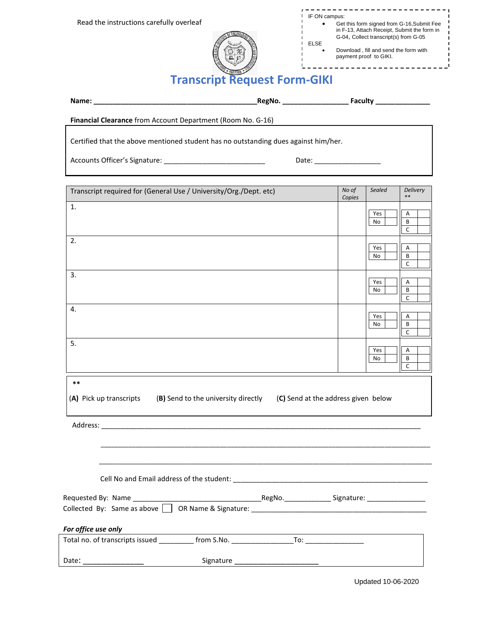| IF ON campus: |                                                                                           |
|---------------|-------------------------------------------------------------------------------------------|
|               | Get this form signed from G-16, Submit Fee<br>in F-13, Attach Receipt, Submit the form in |
|               | G-04, Collect transcript(s) from G-05                                                     |
| <b>ELSE</b>   | Download, fill and send the form with                                                     |

payment proof to GIKI.



**Transcript Request Form-GIKI**

| Name: | <b>RegNo</b> | .oculty<br>. al |  |
|-------|--------------|-----------------|--|
|       |              |                 |  |

**Financial Clearance** from Account Department (Room No. G-16)

Certified that the above mentioned student has no outstanding dues against him/her.

Accounts Officer's Signature: \_\_\_\_\_\_\_\_\_\_\_\_\_\_\_\_\_\_\_\_\_\_\_\_\_\_ Date: \_\_\_\_\_\_\_\_\_\_\_\_\_\_\_\_\_

| Transcript required for (General Use / University/Org./Dept. etc)                                                                                                                                                                                           | No of<br>Copies | Sealed    | <b>Delivery</b><br>** |
|-------------------------------------------------------------------------------------------------------------------------------------------------------------------------------------------------------------------------------------------------------------|-----------------|-----------|-----------------------|
| 1.                                                                                                                                                                                                                                                          |                 | Yes<br>No | Α<br>B<br>C           |
| 2.                                                                                                                                                                                                                                                          |                 | Yes<br>No | Α<br>В<br>C           |
| 3.                                                                                                                                                                                                                                                          |                 | Yes<br>No | Α<br>В<br>C           |
| 4.                                                                                                                                                                                                                                                          |                 | Yes<br>No | Α<br>B<br>C           |
| 5.                                                                                                                                                                                                                                                          |                 | Yes<br>No | A<br>В<br>C           |
| $***$<br>(A) Pick up transcripts (B) Send to the university directly (C) Send at the address given below                                                                                                                                                    |                 |           |                       |
|                                                                                                                                                                                                                                                             |                 |           |                       |
|                                                                                                                                                                                                                                                             |                 |           |                       |
|                                                                                                                                                                                                                                                             |                 |           |                       |
| Requested By: Name ____________<br>Collected By: Same as above 1 OR Name & Signature: 1 Collected By: Collected By: Same as above 1 OR Name & Signature:                                                                                                    |                 |           |                       |
| For office use only<br><u> The Communication of the Communication of the Communication of the Communication of the Communication of the Communication of the Communication of the Communication of the Communication of the Communication of the Commun</u> |                 |           |                       |
|                                                                                                                                                                                                                                                             |                 |           |                       |
|                                                                                                                                                                                                                                                             |                 |           |                       |